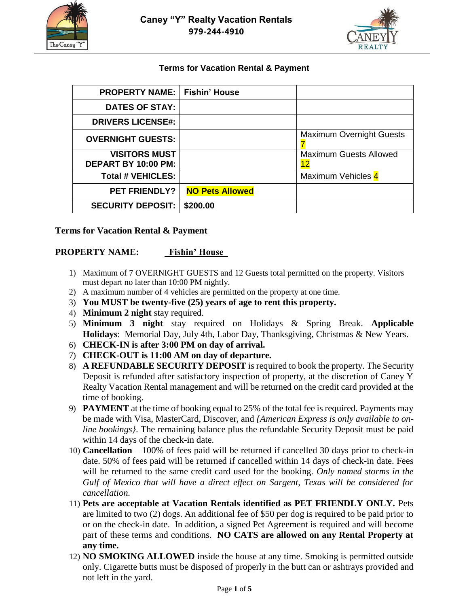



### **Terms for Vacation Rental & Payment**

| <b>PROPERTY NAME:</b> I                     | Fishin' House          |                                     |
|---------------------------------------------|------------------------|-------------------------------------|
| <b>DATES OF STAY:</b>                       |                        |                                     |
| <b>DRIVERS LICENSE#:</b>                    |                        |                                     |
| <b>OVERNIGHT GUESTS:</b>                    |                        | <b>Maximum Overnight Guests</b>     |
| <b>VISITORS MUST</b><br>DEPART BY 10:00 PM: |                        | <b>Maximum Guests Allowed</b><br>12 |
| <b>Total # VEHICLES:</b>                    |                        | Maximum Vehicles 4                  |
| <b>PET FRIENDLY?</b>                        | <b>NO Pets Allowed</b> |                                     |
| <b>SECURITY DEPOSIT:</b>                    | \$200.00               |                                     |

#### **Terms for Vacation Rental & Payment**

#### **PROPERTY NAME: Fishin' House**

- 1) Maximum of 7 OVERNIGHT GUESTS and 12 Guests total permitted on the property. Visitors must depart no later than 10:00 PM nightly.
- 2) A maximum number of 4 vehicles are permitted on the property at one time.
- 3) **You MUST be twenty-five (25) years of age to rent this property.**
- 4) **Minimum 2 night** stay required.
- 5) **Minimum 3 night** stay required on Holidays & Spring Break. **Applicable Holidays**: Memorial Day, July 4th, Labor Day, Thanksgiving, Christmas & New Years.
- 6) **CHECK-IN is after 3:00 PM on day of arrival.**
- 7) **CHECK-OUT is 11:00 AM on day of departure.**
- 8) **A REFUNDABLE SECURITY DEPOSIT** is required to book the property. The Security Deposit is refunded after satisfactory inspection of property, at the discretion of Caney Y Realty Vacation Rental management and will be returned on the credit card provided at the time of booking.
- 9) **PAYMENT** at the time of booking equal to 25% of the total fee is required. Payments may be made with Visa, MasterCard, Discover, and *{American Express is only available to online bookings}*. The remaining balance plus the refundable Security Deposit must be paid within 14 days of the check-in date.
- 10) **Cancellation**  100% of fees paid will be returned if cancelled 30 days prior to check-in date. 50% of fees paid will be returned if cancelled within 14 days of check-in date. Fees will be returned to the same credit card used for the booking. *Only named storms in the Gulf of Mexico that will have a direct effect on Sargent, Texas will be considered for cancellation.*
- 11) **Pets are acceptable at Vacation Rentals identified as PET FRIENDLY ONLY.** Pets are limited to two (2) dogs. An additional fee of \$50 per dog is required to be paid prior to or on the check-in date. In addition, a signed Pet Agreement is required and will become part of these terms and conditions. **NO CATS are allowed on any Rental Property at any time.**
- 12) **NO SMOKING ALLOWED** inside the house at any time. Smoking is permitted outside only. Cigarette butts must be disposed of properly in the butt can or ashtrays provided and not left in the yard.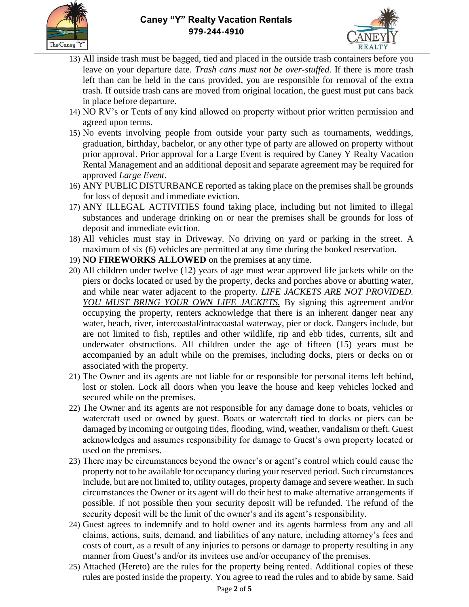



- 13) All inside trash must be bagged, tied and placed in the outside trash containers before you leave on your departure date. *Trash cans must not be over-stuffed.* If there is more trash left than can be held in the cans provided, you are responsible for removal of the extra trash. If outside trash cans are moved from original location, the guest must put cans back in place before departure.
- 14) NO RV's or Tents of any kind allowed on property without prior written permission and agreed upon terms.
- 15) No events involving people from outside your party such as tournaments, weddings, graduation, birthday, bachelor, or any other type of party are allowed on property without prior approval. Prior approval for a Large Event is required by Caney Y Realty Vacation Rental Management and an additional deposit and separate agreement may be required for approved *Large Event*.
- 16) ANY PUBLIC DISTURBANCE reported as taking place on the premises shall be grounds for loss of deposit and immediate eviction.
- 17) ANY ILLEGAL ACTIVITIES found taking place, including but not limited to illegal substances and underage drinking on or near the premises shall be grounds for loss of deposit and immediate eviction.
- 18) All vehicles must stay in Driveway. No driving on yard or parking in the street. A maximum of six (6) vehicles are permitted at any time during the booked reservation.
- 19) **NO FIREWORKS ALLOWED** on the premises at any time.
- 20) All children under twelve (12) years of age must wear approved life jackets while on the piers or docks located or used by the property, decks and porches above or abutting water, and while near water adjacent to the property. *LIFE JACKETS ARE NOT PROVIDED. YOU MUST BRING YOUR OWN LIFE JACKETS.* By signing this agreement and/or occupying the property, renters acknowledge that there is an inherent danger near any water, beach, river, intercoastal/intracoastal waterway, pier or dock. Dangers include, but are not limited to fish, reptiles and other wildlife, rip and ebb tides, currents, silt and underwater obstructions. All children under the age of fifteen (15) years must be accompanied by an adult while on the premises, including docks, piers or decks on or associated with the property.
- 21) The Owner and its agents are not liable for or responsible for personal items left behind**,**  lost or stolen. Lock all doors when you leave the house and keep vehicles locked and secured while on the premises.
- 22) The Owner and its agents are not responsible for any damage done to boats, vehicles or watercraft used or owned by guest. Boats or watercraft tied to docks or piers can be damaged by incoming or outgoing tides, flooding, wind, weather, vandalism or theft. Guest acknowledges and assumes responsibility for damage to Guest's own property located or used on the premises.
- 23) There may be circumstances beyond the owner's or agent's control which could cause the property not to be available for occupancy during your reserved period. Such circumstances include, but are not limited to, utility outages, property damage and severe weather. In such circumstances the Owner or its agent will do their best to make alternative arrangements if possible. If not possible then your security deposit will be refunded. The refund of the security deposit will be the limit of the owner's and its agent's responsibility.
- 24) Guest agrees to indemnify and to hold owner and its agents harmless from any and all claims, actions, suits, demand, and liabilities of any nature, including attorney's fees and costs of court, as a result of any injuries to persons or damage to property resulting in any manner from Guest's and/or its invitees use and/or occupancy of the premises.
- 25) Attached (Hereto) are the rules for the property being rented. Additional copies of these rules are posted inside the property. You agree to read the rules and to abide by same. Said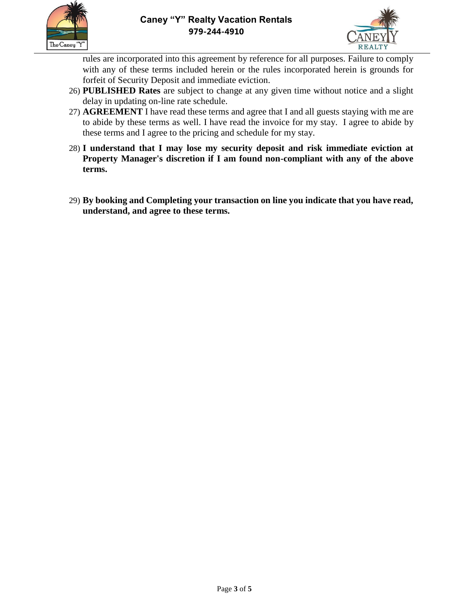



rules are incorporated into this agreement by reference for all purposes. Failure to comply with any of these terms included herein or the rules incorporated herein is grounds for forfeit of Security Deposit and immediate eviction.

- 26) **PUBLISHED Rates** are subject to change at any given time without notice and a slight delay in updating on-line rate schedule.
- 27) **AGREEMENT** I have read these terms and agree that I and all guests staying with me are to abide by these terms as well. I have read the invoice for my stay. I agree to abide by these terms and I agree to the pricing and schedule for my stay.
- 28) **I understand that I may lose my security deposit and risk immediate eviction at Property Manager's discretion if I am found non-compliant with any of the above terms.**
- 29) **By booking and Completing your transaction on line you indicate that you have read, understand, and agree to these terms.**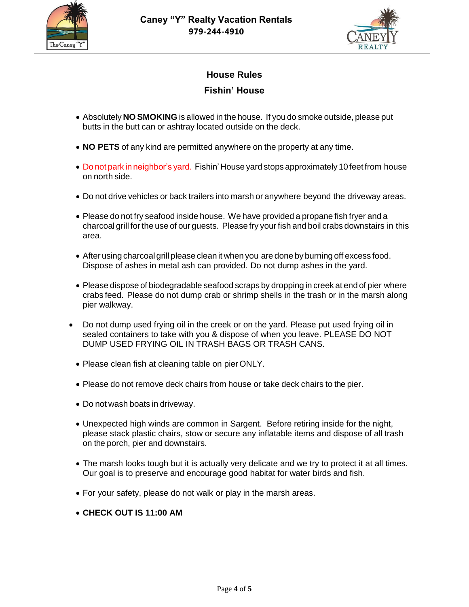



# **House Rules**

## **Fishin' House**

- Absolutely **NO SMOKING** is allowed in the house. If you do smoke outside, please put butts in the butt can or ashtray located outside on the deck.
- **NO PETS** of any kind are permitted anywhere on the property at any time.
- Do not park in neighbor's yard. Fishin' House yard stops approximately 10 feet from house on north side.
- Do not drive vehicles or back trailers into marsh or anywhere beyond the driveway areas.
- Please do not fry seafood inside house. We have provided a propane fish fryer and a charcoal grill forthe use of our guests. Please fry your fish and boil crabs downstairs in this area.
- After using charcoalgrill please clean it when you are done by burning off excess food. Dispose of ashes in metal ash can provided. Do not dump ashes in the yard.
- Please dispose of biodegradable seafood scraps by dropping in creek at end of pier where crabs feed. Please do not dump crab or shrimp shells in the trash or in the marsh along pier walkway.
- Do not dump used frying oil in the creek or on the yard. Please put used frying oil in sealed containers to take with you & dispose of when you leave. PLEASE DO NOT DUMP USED FRYING OIL IN TRASH BAGS OR TRASH CANS.
	- Please clean fish at cleaning table on pierONLY.
	- Please do not remove deck chairs from house or take deck chairs to the pier.
	- Do not wash boats in driveway.
	- Unexpected high winds are common in Sargent. Before retiring inside for the night, please stack plastic chairs, stow or secure any inflatable items and dispose of all trash on the porch, pier and downstairs.
	- The marsh looks tough but it is actually very delicate and we try to protect it at all times. Our goal is to preserve and encourage good habitat for water birds and fish.
	- For your safety, please do not walk or play in the marsh areas.
	- **CHECK OUT IS 11:00 AM**